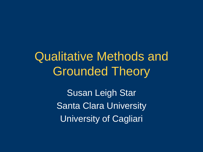Qualitative Methods and Grounded Theory

> Susan Leigh Star Santa Clara University University of Cagliari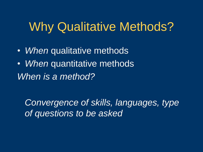### Why Qualitative Methods?

- *When* qualitative methods
- *When* quantitative methods *When is a method?*

*Convergence of skills, languages, type of questions to be asked*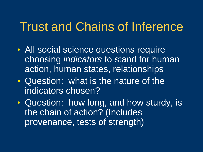### Trust and Chains of Inference

- All social science questions require choosing *indicators* to stand for human action, human states, relationships
- Question: what is the nature of the indicators chosen?
- Question: how long, and how sturdy, is the chain of action? (Includes provenance, tests of strength)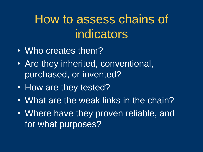# How to assess chains of indicators

- Who creates them?
- Are they inherited, conventional, purchased, or invented?
- How are they tested?
- What are the weak links in the chain?
- Where have they proven reliable, and for what purposes?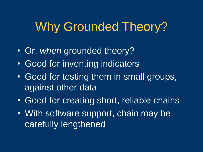# Why Grounded Theory?

- Or, *when* grounded theory?
- Good for inventing indicators
- Good for testing them in small groups, against other data
- Good for creating short, reliable chains
- With software support, chain may be carefully lengthened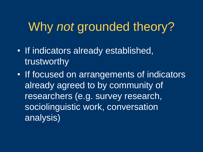## Why *not* grounded theory?

- If indicators already established, trustworthy
- If focused on arrangements of indicators already agreed to by community of researchers (e.g. survey research, sociolinguistic work, conversation analysis)